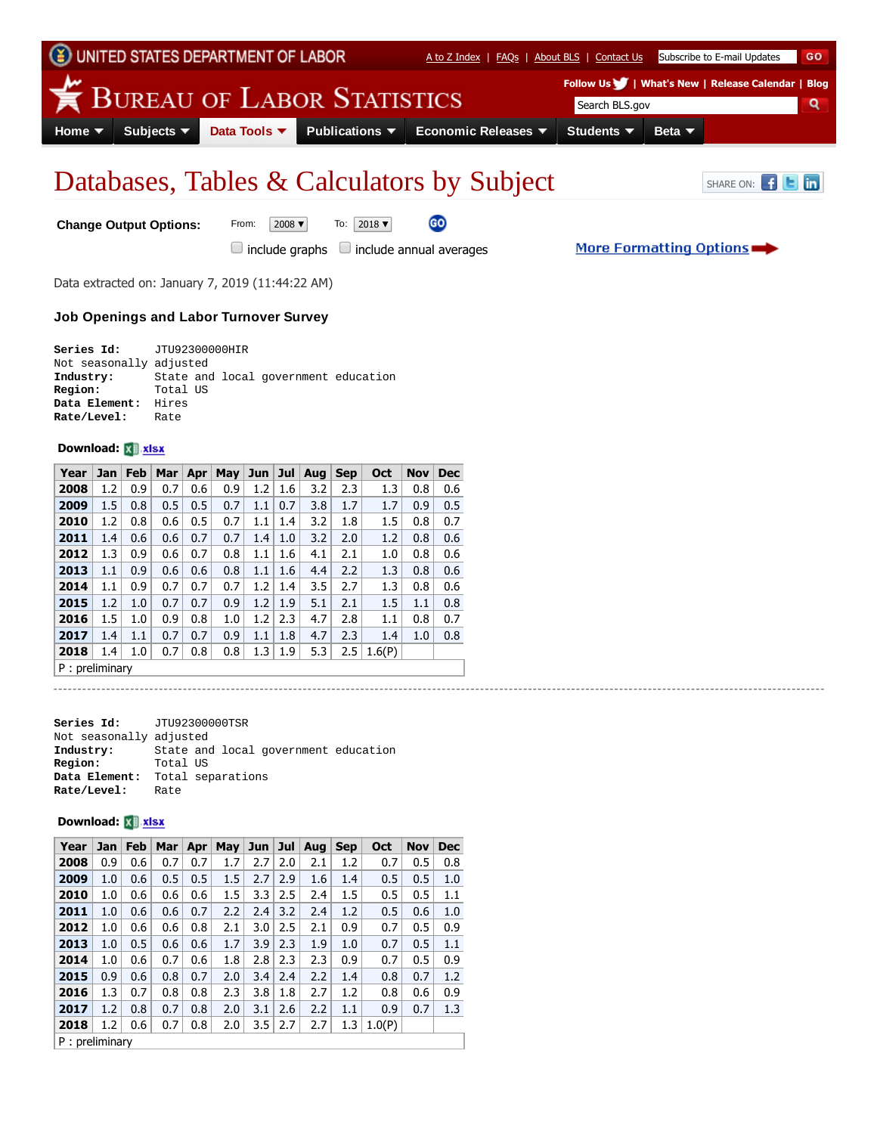

GO

# Databases, Tables & Calculators by Subject SHARE ON: E **E**

More Formatting Options

**Change Output Options:** From: 2008  $\bullet$  To: 2018  $\bullet$ 

 $\Box$  include graphs  $\Box$  include annual averages

Data extracted on: January 7, 2019 (11:44:22 AM)

#### **Job Openings and Labor Turnover Survey**

| Series Id: JTU92300000HIR |          |  |                                      |  |
|---------------------------|----------|--|--------------------------------------|--|
| Not seasonally adjusted   |          |  |                                      |  |
| Industry:                 |          |  | State and local government education |  |
| Region:                   | Total US |  |                                      |  |
| Data Element: Hires       |          |  |                                      |  |
| Rate/Level:               | Rate     |  |                                      |  |

### **Download:**

| Year             | <b>Jan</b> | Feb | Mar | Apr | May | Jun | Jul | Aug | <b>Sep</b> | Oct    | <b>Nov</b> | <b>Dec</b> |
|------------------|------------|-----|-----|-----|-----|-----|-----|-----|------------|--------|------------|------------|
| 2008             | 1.2        | 0.9 | 0.7 | 0.6 | 0.9 | 1.2 | 1.6 | 3.2 | 2.3        | 1.3    | 0.8        | 0.6        |
| 2009             | 1.5        | 0.8 | 0.5 | 0.5 | 0.7 | 1.1 | 0.7 | 3.8 | 1.7        | 1.7    | 0.9        | 0.5        |
| 2010             | 1.2        | 0.8 | 0.6 | 0.5 | 0.7 | 1.1 | 1.4 | 3.2 | 1.8        | 1.5    | 0.8        | 0.7        |
| 2011             | 1.4        | 0.6 | 0.6 | 0.7 | 0.7 | 1.4 | 1.0 | 3.2 | 2.0        | 1.2    | 0.8        | 0.6        |
| 2012             | 1.3        | 0.9 | 0.6 | 0.7 | 0.8 | 1.1 | 1.6 | 4.1 | 2.1        | 1.0    | 0.8        | 0.6        |
| 2013             | 1.1        | 0.9 | 0.6 | 0.6 | 0.8 | 1.1 | 1.6 | 4.4 | 2.2        | 1.3    | 0.8        | 0.6        |
| 2014             | 1.1        | 0.9 | 0.7 | 0.7 | 0.7 | 1.2 | 1.4 | 3.5 | 2.7        | 1.3    | 0.8        | 0.6        |
| 2015             | 1.2        | 1.0 | 0.7 | 0.7 | 0.9 | 1.2 | 1.9 | 5.1 | 2.1        | 1.5    | 1.1        | 0.8        |
| 2016             | 1.5        | 1.0 | 0.9 | 0.8 | 1.0 | 1.2 | 2.3 | 4.7 | 2.8        | 1.1    | 0.8        | 0.7        |
| 2017             | 1.4        | 1.1 | 0.7 | 0.7 | 0.9 | 1.1 | 1.8 | 4.7 | 2.3        | 1.4    | 1.0        | 0.8        |
| 2018             | 1.4        | 1.0 | 0.7 | 0.8 | 0.8 | 1.3 | 1.9 | 5.3 | 2.5        | 1.6(P) |            |            |
| $P:$ preliminary |            |     |     |     |     |     |     |     |            |        |            |            |

**Series Id:** JTU92300000TSR Not seasonally adjusted<br>Industry: State and **Industry:** State and local government education<br>**Region:** Total US **Region:** Total US **Data Element:** Total separations **Rate/Level:** Rate

#### **Download:**

| Year           | <b>Jan</b> | Feb | Mar | Apr | May | Jun | Jul | Aug | <b>Sep</b> | Oct    | <b>Nov</b> | <b>Dec</b> |
|----------------|------------|-----|-----|-----|-----|-----|-----|-----|------------|--------|------------|------------|
| 2008           | 0.9        | 0.6 | 0.7 | 0.7 | 1.7 | 2.7 | 2.0 | 2.1 | 1.2        | 0.7    | 0.5        | 0.8        |
| 2009           | 1.0        | 0.6 | 0.5 | 0.5 | 1.5 | 2.7 | 2.9 | 1.6 | 1.4        | 0.5    | 0.5        | 1.0        |
| 2010           | 1.0        | 0.6 | 0.6 | 0.6 | 1.5 | 3.3 | 2.5 | 2.4 | $1.5\,$    | 0.5    | 0.5        | 1.1        |
| 2011           | 1.0        | 0.6 | 0.6 | 0.7 | 2.2 | 2.4 | 3.2 | 2.4 | 1.2        | 0.5    | 0.6        | 1.0        |
| 2012           | 1.0        | 0.6 | 0.6 | 0.8 | 2.1 | 3.0 | 2.5 | 2.1 | 0.9        | 0.7    | 0.5        | 0.9        |
| 2013           | 1.0        | 0.5 | 0.6 | 0.6 | 1.7 | 3.9 | 2.3 | 1.9 | 1.0        | 0.7    | 0.5        | 1.1        |
| 2014           | 1.0        | 0.6 | 0.7 | 0.6 | 1.8 | 2.8 | 2.3 | 2.3 | 0.9        | 0.7    | 0.5        | 0.9        |
| 2015           | 0.9        | 0.6 | 0.8 | 0.7 | 2.0 | 3.4 | 2.4 | 2.2 | 1.4        | 0.8    | 0.7        | 1.2        |
| 2016           | 1.3        | 0.7 | 0.8 | 0.8 | 2.3 | 3.8 | 1.8 | 2.7 | 1.2        | 0.8    | 0.6        | 0.9        |
| 2017           | 1.2        | 0.8 | 0.7 | 0.8 | 2.0 | 3.1 | 2.6 | 2.2 | 1.1        | 0.9    | 0.7        | 1.3        |
| 2018           | 1.2        | 0.6 | 0.7 | 0.8 | 2.0 | 3.5 | 2.7 | 2.7 | 1.3        | 1.0(P) |            |            |
| P: preliminary |            |     |     |     |     |     |     |     |            |        |            |            |